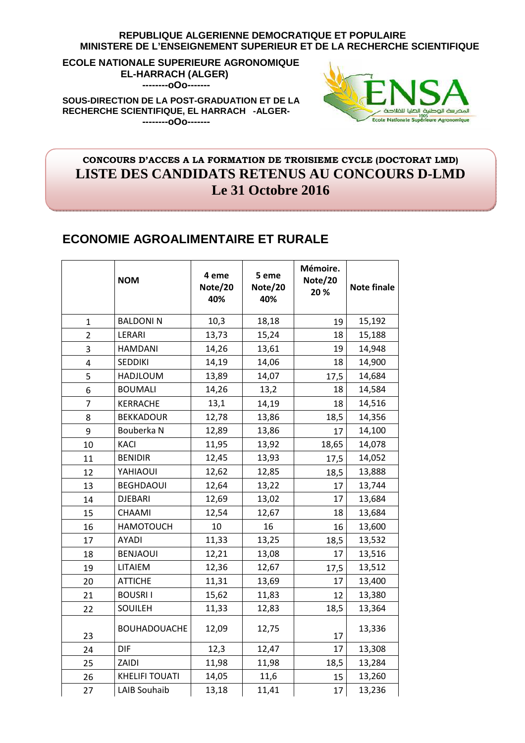#### **REPUBLIQUE ALGERIENNE DEMOCRATIQUE ET POPULAIRE MINISTERE DE L'ENSEIGNEMENT SUPERIEUR ET DE LA RECHERCHE SCIENTIFIQUE**

**ECOLE NATIONALE SUPERIEURE AGRONOMIQUE EL-HARRACH (ALGER) --------oOo-------** 

**SOUS-DIRECTION DE LA POST-GRADUATION ET DE LA RECHERCHE SCIENTIFIQUE, EL HARRACH -ALGER- --------oOo-------** 



### **CONCOURS D'ACCES A LA FORMATION DE TROISIEME CYCLE (DOCTORAT LMD) LISTE DES CANDIDATS RETENUS AU CONCOURS D-LMD Le 31 Octobre 2016**

## **ECONOMIE AGROALIMENTAIRE ET RURALE**

|                         | <b>NOM</b>            | 4 eme<br>Note/20<br>40% | 5 eme<br>Note/20<br>40% | Mémoire.<br>Note/20<br>20% | <b>Note finale</b> |
|-------------------------|-----------------------|-------------------------|-------------------------|----------------------------|--------------------|
| $\mathbf{1}$            | <b>BALDONIN</b>       | 10,3                    | 18,18                   | 19                         | 15,192             |
| $\overline{2}$          | LERARI                | 13,73                   | 15,24                   | 18                         | 15,188             |
| 3                       | <b>HAMDANI</b>        | 14,26                   | 13,61                   | 19                         | 14,948             |
| $\overline{\mathbf{4}}$ | <b>SEDDIKI</b>        | 14,19                   | 14,06                   | 18                         | 14,900             |
| 5                       | <b>HADJLOUM</b>       | 13,89                   | 14,07                   | 17,5                       | 14,684             |
| 6                       | <b>BOUMALI</b>        | 14,26                   | 13,2                    | 18                         | 14,584             |
| $\overline{7}$          | KERRACHE              | 13,1                    | 14,19                   | 18                         | 14,516             |
| 8                       | <b>BEKKADOUR</b>      | 12,78                   | 13,86                   | 18,5                       | 14,356             |
| 9                       | Bouberka N            | 12,89                   | 13,86                   | 17                         | 14,100             |
| 10                      | <b>KACI</b>           | 11,95                   | 13,92                   | 18,65                      | 14,078             |
| 11                      | <b>BENIDIR</b>        | 12,45                   | 13,93                   | 17,5                       | 14,052             |
| 12                      | YAHIAOUI              | 12,62                   | 12,85                   | 18,5                       | 13,888             |
| 13                      | <b>BEGHDAOUI</b>      | 12,64                   | 13,22                   | 17                         | 13,744             |
| 14                      | <b>DJEBARI</b>        | 12,69                   | 13,02                   | 17                         | 13,684             |
| 15                      | CHAAMI                | 12,54                   | 12,67                   | 18                         | 13,684             |
| 16                      | <b>HAMOTOUCH</b>      | 10                      | 16                      | 16                         | 13,600             |
| 17                      | AYADI                 | 11,33                   | 13,25                   | 18,5                       | 13,532             |
| 18                      | <b>BENJAOUI</b>       | 12,21                   | 13,08                   | 17                         | 13,516             |
| 19                      | LITAIEM               | 12,36                   | 12,67                   | 17,5                       | 13,512             |
| 20                      | <b>ATTICHE</b>        | 11,31                   | 13,69                   | 17                         | 13,400             |
| 21                      | <b>BOUSRII</b>        | 15,62                   | 11,83                   | 12                         | 13,380             |
| 22                      | SOUILEH               | 11,33                   | 12,83                   | 18,5                       | 13,364             |
| 23                      | <b>BOUHADOUACHE</b>   | 12,09                   | 12,75                   | 17                         | 13,336             |
| 24                      | <b>DIF</b>            | 12,3                    | 12,47                   | 17                         | 13,308             |
| 25                      | ZAIDI                 | 11,98                   | 11,98                   | 18,5                       | 13,284             |
| 26                      | <b>KHELIFI TOUATI</b> | 14,05                   | 11,6                    | 15                         | 13,260             |
| 27                      | <b>LAIB Souhaib</b>   | 13,18                   | 11,41                   | 17                         | 13,236             |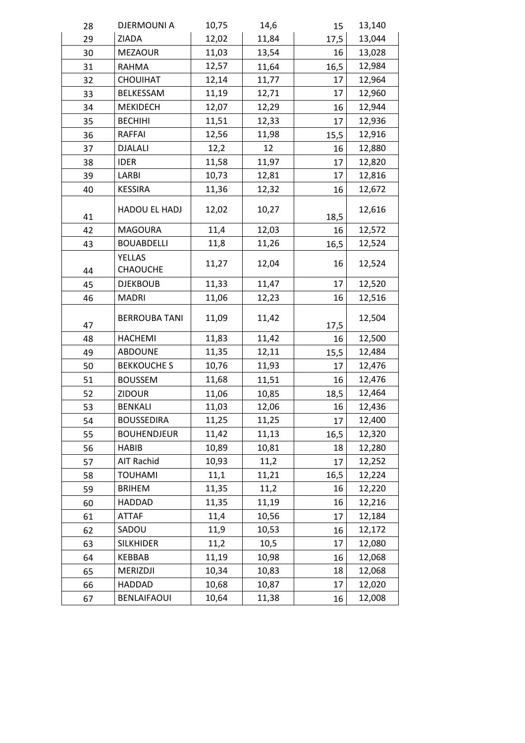| 28 | <b>DJERMOUNI A</b>        | 10,75 | 14,6  | 15   | 13,140 |
|----|---------------------------|-------|-------|------|--------|
| 29 | ZIADA                     | 12,02 | 11,84 | 17,5 | 13,044 |
| 30 | <b>MEZAOUR</b>            | 11,03 | 13,54 | 16   | 13,028 |
| 31 | <b>RAHMA</b>              | 12,57 | 11,64 | 16,5 | 12,984 |
| 32 | CHOUIHAT                  | 12,14 | 11,77 | 17   | 12,964 |
| 33 | BELKESSAM                 | 11,19 | 12,71 | 17   | 12,960 |
| 34 | <b>MEKIDECH</b>           | 12,07 | 12,29 | 16   | 12,944 |
| 35 | <b>BECHIHI</b>            | 11,51 | 12,33 | 17   | 12,936 |
| 36 | <b>RAFFAI</b>             | 12,56 | 11,98 | 15,5 | 12,916 |
| 37 | <b>DJALALI</b>            | 12,2  | 12    | 16   | 12,880 |
| 38 | <b>IDER</b>               | 11,58 | 11,97 | 17   | 12,820 |
| 39 | LARBI                     | 10,73 | 12,81 | 17   | 12,816 |
| 40 | <b>KESSIRA</b>            | 11,36 | 12,32 | 16   | 12,672 |
| 41 | HADOU EL HADJ             | 12,02 | 10,27 | 18,5 | 12,616 |
| 42 | <b>MAGOURA</b>            | 11,4  | 12,03 | 16   | 12,572 |
| 43 | <b>BOUABDELLI</b>         | 11,8  | 11,26 | 16,5 | 12,524 |
| 44 | <b>YELLAS</b><br>CHAOUCHE | 11,27 | 12,04 | 16   | 12,524 |
| 45 | <b>DJEKBOUB</b>           | 11,33 | 11,47 | 17   | 12,520 |
| 46 | <b>MADRI</b>              | 11,06 | 12,23 | 16   | 12,516 |
| 47 | <b>BERROUBA TANI</b>      | 11,09 | 11,42 | 17,5 | 12,504 |
| 48 | <b>HACHEMI</b>            | 11,83 | 11,42 | 16   | 12,500 |
| 49 | <b>ABDOUNE</b>            | 11,35 | 12,11 | 15,5 | 12,484 |
| 50 | <b>BEKKOUCHE S</b>        | 10,76 | 11,93 | 17   | 12,476 |
| 51 | <b>BOUSSEM</b>            | 11,68 | 11,51 | 16   | 12,476 |
| 52 | <b>ZIDOUR</b>             | 11,06 | 10,85 | 18,5 | 12,464 |
| 53 | <b>BENKALI</b>            | 11,03 | 12,06 | 16   | 12,436 |
| 54 | <b>BOUSSEDIRA</b>         | 11,25 | 11,25 | 17   | 12,400 |
| 55 | <b>BOUHENDJEUR</b>        | 11,42 | 11,13 | 16,5 | 12,320 |
| 56 | <b>HABIB</b>              | 10,89 | 10,81 | 18   | 12,280 |
| 57 | AIT Rachid                | 10,93 | 11,2  | 17   | 12,252 |
| 58 | <b>TOUHAMI</b>            | 11,1  | 11,21 | 16,5 | 12,224 |
| 59 | <b>BRIHEM</b>             | 11,35 | 11,2  | 16   | 12,220 |
| 60 | HADDAD                    | 11,35 | 11,19 | 16   | 12,216 |
| 61 | <b>ATTAF</b>              | 11,4  | 10,56 | 17   | 12,184 |
| 62 | SADOU                     | 11,9  | 10,53 | 16   | 12,172 |
| 63 | <b>SILKHIDER</b>          | 11,2  | 10,5  | 17   | 12,080 |
| 64 | KEBBAB                    | 11,19 | 10,98 | 16   | 12,068 |
| 65 | MERIZDJI                  | 10,34 | 10,83 | 18   | 12,068 |
| 66 | HADDAD                    | 10,68 | 10,87 | 17   | 12,020 |
| 67 | <b>BENLAIFAOUI</b>        | 10,64 | 11,38 | 16   | 12,008 |